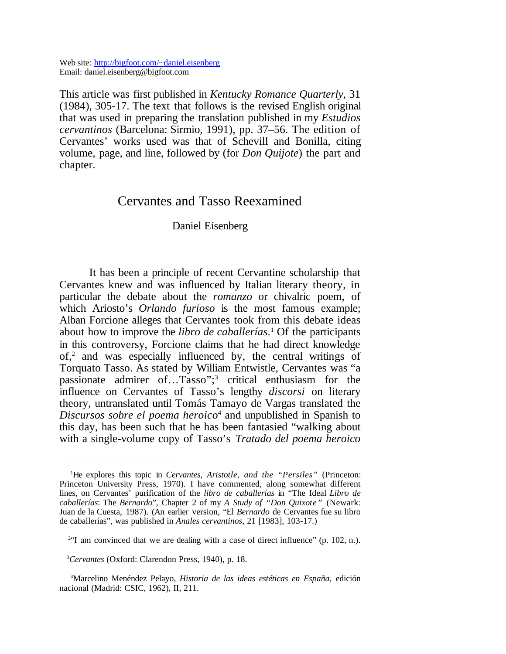Web site: http://bigfoot.com/~daniel.eisenberg Email: daniel.eisenberg@bigfoot.com

This article was first published in *Kentucky Romance Quarterly*, 31 (1984), 305-17. The text that follows is the revised English original that was used in preparing the translation published in my *Estudios cervantinos* (Barcelona: Sirmio, 1991), pp. 37–56. The edition of Cervantes' works used was that of Schevill and Bonilla, citing volume, page, and line, followed by (for *Don Quijote*) the part and chapter.

## Cervantes and Tasso Reexamined

## Daniel Eisenberg

It has been a principle of recent Cervantine scholarship that Cervantes knew and was influenced by Italian literary theory, in particular the debate about the *romanzo* or chivalric poem, of which Ariosto's *Orlando furioso* is the most famous example; Alban Forcione alleges that Cervantes took from this debate ideas about how to improve the *libro de caballerías*. 1 Of the participants in this controversy, Forcione claims that he had direct knowledge of,<sup>2</sup> and was especially influenced by, the central writings of Torquato Tasso. As stated by William Entwistle, Cervantes was "a passionate admirer of...Tasso";<sup>3</sup> critical enthusiasm for the influence on Cervantes of Tasso's lengthy *discorsi* on literary theory, untranslated until Tomás Tamayo de Vargas translated the *Discursos sobre el poema heroico*<sup>4</sup> and unpublished in Spanish to this day, has been such that he has been fantasied "walking about with a single-volume copy of Tasso's *Tratado del poema heroico*

<sup>1</sup>He explores this topic in *Cervantes, Aristotle, and the "Persiles"* (Princeton: Princeton University Press, 1970). I have commented, along somewhat different lines, on Cervantes' purification of the *libro de caballerías* in "The Ideal *Libro de caballerías*: The *Bernardo*", Chapter 2 of my *A Study of "Don Quixote"* (Newark: Juan de la Cuesta, 1987). (An earlier version, "El *Bernardo* de Cervantes fue su libro de caballerías", was published in *Anales cervantinos*, 21 [1983], 103-17.)

 $2^{2}$  am convinced that we are dealing with a case of direct influence" (p. 102, n.).

<sup>3</sup>*Cervantes* (Oxford: Clarendon Press, 1940), p. 18.

<sup>4</sup>Marcelino Menéndez Pelayo, *Historia de las ideas estéticas en España*, edición nacional (Madrid: CSIC, 1962), II, 211.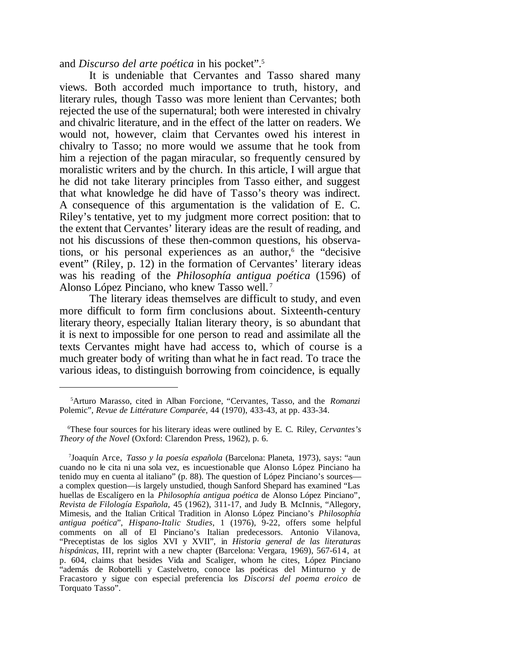and *Discurso del arte poética* in his pocket".<sup>5</sup>

It is undeniable that Cervantes and Tasso shared many views. Both accorded much importance to truth, history, and literary rules, though Tasso was more lenient than Cervantes; both rejected the use of the supernatural; both were interested in chivalry and chivalric literature, and in the effect of the latter on readers. We would not, however, claim that Cervantes owed his interest in chivalry to Tasso; no more would we assume that he took from him a rejection of the pagan miracular, so frequently censured by moralistic writers and by the church. In this article, I will argue that he did not take literary principles from Tasso either, and suggest that what knowledge he did have of Tasso's theory was indirect. A consequence of this argumentation is the validation of E. C. Riley's tentative, yet to my judgment more correct position: that to the extent that Cervantes' literary ideas are the result of reading, and not his discussions of these then-common questions, his observations, or his personal experiences as an author,<sup>6</sup> the "decisive event" (Riley, p. 12) in the formation of Cervantes' literary ideas was his reading of the *Philosophía antigua poética* (1596) of Alonso López Pinciano, who knew Tasso well. <sup>7</sup>

The literary ideas themselves are difficult to study, and even more difficult to form firm conclusions about. Sixteenth-century literary theory, especially Italian literary theory, is so abundant that it is next to impossible for one person to read and assimilate all the texts Cervantes might have had access to, which of course is a much greater body of writing than what he in fact read. To trace the various ideas, to distinguish borrowing from coincidence, is equally

<sup>5</sup>Arturo Marasso, cited in Alban Forcione, "Cervantes, Tasso, and the *Romanzi* Polemic", *Revue de Littérature Comparée*, 44 (1970), 433-43, at pp. 433-34.

<sup>6</sup>These four sources for his literary ideas were outlined by E. C. Riley, *Cervantes's Theory of the Novel* (Oxford: Clarendon Press, 1962), p. 6.

<sup>7</sup> Joaquín Arce, *Tasso y la poesía española* (Barcelona: Planeta, 1973), says: "aun cuando no le cita ni una sola vez, es incuestionable que Alonso López Pinciano ha tenido muy en cuenta al italiano" (p. 88). The question of López Pinciano's sources a complex question—is largely unstudied, though Sanford Shepard has examined "Las huellas de Escalígero en la *Philosophía antigua poética* de Alonso López Pinciano", *Revista de Filología Española*, 45 (1962), 311-17, and Judy B. McInnis, "Allegory, Mimesis, and the Italian Critical Tradition in Alonso López Pinciano's *Philosophía antigua poética*", *Hispano-Italic Studies*, 1 (1976), 9-22, offers some helpful comments on all of El Pinciano's Italian predecessors. Antonio Vilanova, "Preceptistas de los siglos XVI y XVII", in *Historia general de las literaturas hispánicas*, III, reprint with a new chapter (Barcelona: Vergara, 1969), 567-614, at p. 604, claims that besides Vida and Scaliger, whom he cites, López Pinciano "además de Robortelli y Castelvetro, conoce las poéticas del Minturno y de Fracastoro y sigue con especial preferencia los *Discorsi del poema eroico* de Torquato Tasso".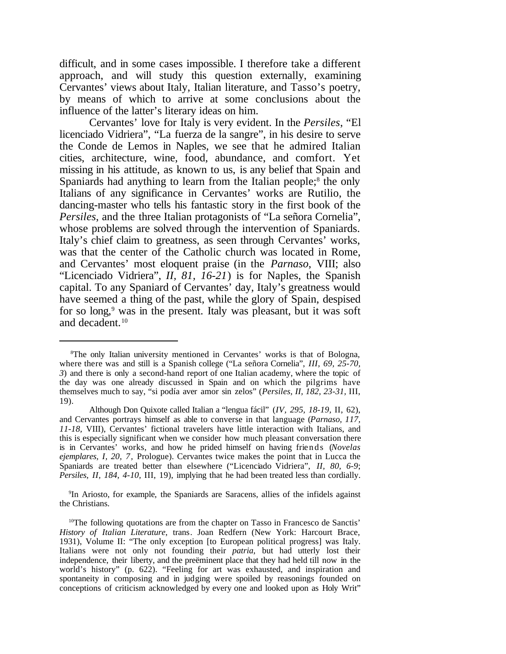difficult, and in some cases impossible. I therefore take a different approach, and will study this question externally, examining Cervantes' views about Italy, Italian literature, and Tasso's poetry, by means of which to arrive at some conclusions about the influence of the latter's literary ideas on him.

Cervantes' love for Italy is very evident. In the *Persiles*, "El licenciado Vidriera", "La fuerza de la sangre", in his desire to serve the Conde de Lemos in Naples, we see that he admired Italian cities, architecture, wine, food, abundance, and comfort. Yet missing in his attitude, as known to us, is any belief that Spain and Spaniards had anything to learn from the Italian people;<sup>8</sup> the only Italians of any significance in Cervantes' works are Rutilio, the dancing-master who tells his fantastic story in the first book of the *Persiles*, and the three Italian protagonists of "La señora Cornelia", whose problems are solved through the intervention of Spaniards. Italy's chief claim to greatness, as seen through Cervantes' works, was that the center of the Catholic church was located in Rome, and Cervantes' most eloquent praise (in the *Parnaso*, VIII; also "Licenciado Vidriera", *II, 81, 16-21*) is for Naples, the Spanish capital. To any Spaniard of Cervantes' day, Italy's greatness would have seemed a thing of the past, while the glory of Spain, despised for so long,<sup>9</sup> was in the present. Italy was pleasant, but it was soft and decadent.<sup>10</sup>

9 In Ariosto, for example, the Spaniards are Saracens, allies of the infidels against the Christians.

<sup>8</sup>The only Italian university mentioned in Cervantes' works is that of Bologna, where there was and still is a Spanish college ("La señora Cornelia", *III, 69, 25-70, 3*) and there is only a second-hand report of one Italian academy, where the topic of the day was one already discussed in Spain and on which the pilgrims have themselves much to say, "si podía aver amor sin zelos" (*Persiles, II, 182, 23-31,* III, 19).

Although Don Quixote called Italian a "lengua fácil" (*IV, 295, 18-19,* II, 62), and Cervantes portrays himself as able to converse in that language (*Parnaso, 117, 11-18,* VIII), Cervantes' fictional travelers have little interaction with Italians, and this is especially significant when we consider how much pleasant conversation there is in Cervantes' works, and how he prided himself on having friends (*Novelas ejemplares, I, 20, 7,* Prologue). Cervantes twice makes the point that in Lucca the Spaniards are treated better than elsewhere ("Licenciado Vidriera", *II, 80, 6-9*; *Persiles, II, 184, 4-10,* III, 19), implying that he had been treated less than cordially.

<sup>&</sup>lt;sup>10</sup>The following quotations are from the chapter on Tasso in Francesco de Sanctis' *History of Italian Literature*, trans. Joan Redfern (New York: Harcourt Brace, 1931), Volume II: "The only exception [to European political progress] was Italy. Italians were not only not founding their *patria*, but had utterly lost their independence, their liberty, and the preëminent place that they had held till now in the world's history" (p. 622). "Feeling for art was exhausted, and inspiration and spontaneity in composing and in judging were spoiled by reasonings founded on conceptions of criticism acknowledged by every one and looked upon as Holy Writ"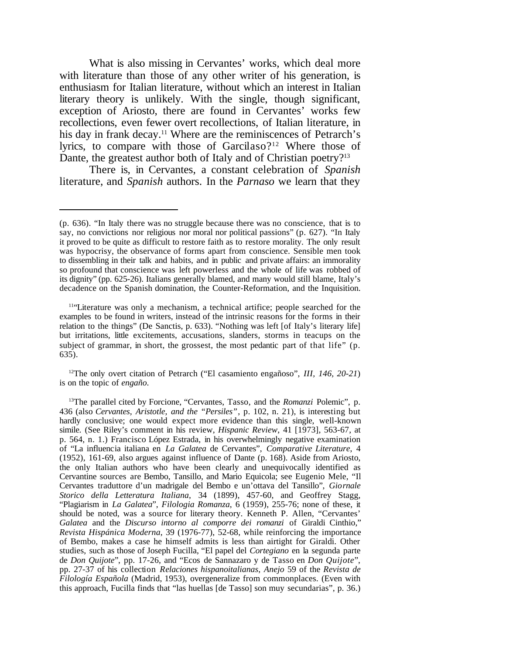What is also missing in Cervantes' works, which deal more with literature than those of any other writer of his generation, is enthusiasm for Italian literature, without which an interest in Italian literary theory is unlikely. With the single, though significant, exception of Ariosto, there are found in Cervantes' works few recollections, even fewer overt recollections, of Italian literature, in his day in frank decay.<sup>11</sup> Where are the reminiscences of Petrarch's lyrics, to compare with those of Garcilaso?<sup>12</sup> Where those of Dante, the greatest author both of Italy and of Christian poetry?<sup>13</sup>

There is, in Cervantes, a constant celebration of *Spanish* literature, and *Spanish* authors. In the *Parnaso* we learn that they

<sup>12</sup>The only overt citation of Petrarch ("El casamiento engañoso", *III, 146, 20-21*) is on the topic of *engaño*.

<sup>(</sup>p. 636). "In Italy there was no struggle because there was no conscience, that is to say, no convictions nor religious nor moral nor political passions" (p. 627). "In Italy it proved to be quite as difficult to restore faith as to restore morality. The only result was hypocrisy, the observance of forms apart from conscience. Sensible men took to dissembling in their talk and habits, and in public and private affairs: an immorality so profound that conscience was left powerless and the whole of life was robbed of its dignity" (pp. 625-26). Italians generally blamed, and many would still blame, Italy's decadence on the Spanish domination, the Counter-Reformation, and the Inquisition.

<sup>&</sup>lt;sup>11</sup>"Literature was only a mechanism, a technical artifice; people searched for the examples to be found in writers, instead of the intrinsic reasons for the forms in their relation to the things" (De Sanctis, p. 633). "Nothing was left [of Italy's literary life] but irritations, little excitements, accusations, slanders, storms in teacups on the subject of grammar, in short, the grossest, the most pedantic part of that life" (p. 635).

<sup>13</sup>The parallel cited by Forcione, "Cervantes, Tasso, and the *Romanzi* Polemic", p. 436 (also *Cervantes, Aristotle, and the "Persiles"*, p. 102, n. 21), is interesting but hardly conclusive; one would expect more evidence than this single, well-known simile. (See Riley's comment in his review, *Hispanic Review*, 41 [1973], 563-67, at p. 564, n. 1.) Francisco López Estrada, in his overwhelmingly negative examination of "La influencia italiana en *La Galatea* de Cervantes", *Comparative Literature*, 4 (1952), 161-69, also argues against influence of Dante (p. 168). Aside from Ariosto, the only Italian authors who have been clearly and unequivocally identified as Cervantine sources are Bembo, Tansillo, and Mario Equicola; see Eugenio Mele, "Il Cervantes traduttore d'un madrigale del Bembo e un'ottava del Tansillo", *Giornale Storico della Letteratura Italiana*, 34 (1899), 457-60, and Geoffrey Stagg, "Plagiarism in *La Galatea*", *Filologia Romanza*, 6 (1959), 255-76; none of these, it should be noted, was a source for literary theory. Kenneth P. Allen, "Cervantes' *Galatea* and the *Discurso intorno al comporre dei romanzi* of Giraldi Cinthio," *Revista Hispánica Moderna*, 39 (1976-77), 52-68, while reinforcing the importance of Bembo, makes a case he himself admits is less than airtight for Giraldi. Other studies, such as those of Joseph Fucilla, "El papel del *Cortegiano* en la segunda parte de *Don Quijote*", pp. 17-26, and "Ecos de Sannazaro y de Tasso en *Don Quijote*", pp. 27-37 of his collection *Relaciones hispanoitalianas*, *Anejo* 59 of the *Revista de Filología Española* (Madrid, 1953), overgeneralize from commonplaces. (Even with this approach, Fucilla finds that "las huellas [de Tasso] son muy secundarias", p. 36.)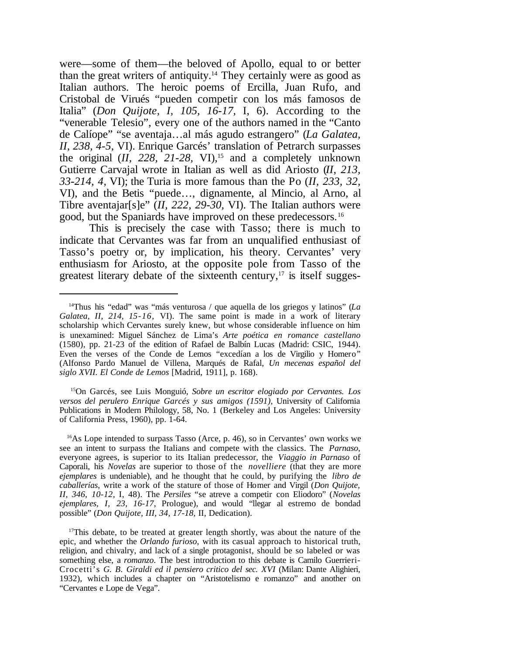were—some of them—the beloved of Apollo, equal to or better than the great writers of antiquity.<sup>14</sup> They certainly were as good as Italian authors. The heroic poems of Ercilla, Juan Rufo, and Cristobal de Virués "pueden competir con los más famosos de Italia" (*Don Quijote, I, 105, 16-17,* I, 6). According to the "venerable Telesio", every one of the authors named in the "Canto de Calíope" "se aventaja…al más agudo estrangero" (*La Galatea, II, 238, 4-5,* VI). Enrique Garcés' translation of Petrarch surpasses the original  $(II, 228, 21-28, VI)$ ,<sup>15</sup> and a completely unknown Gutierre Carvajal wrote in Italian as well as did Ariosto (*II, 213, 33-214, 4,* VI); the Turia is more famous than the Po (*II, 233, 32,* VI), and the Betis "puede…, dignamente, al Mincio, al Arno, al Tibre aventajar[s]e" (*II, 222, 29-30,* VI). The Italian authors were good, but the Spaniards have improved on these predecessors.<sup>16</sup>

This is precisely the case with Tasso; there is much to indicate that Cervantes was far from an unqualified enthusiast of Tasso's poetry or, by implication, his theory. Cervantes' very enthusiasm for Ariosto, at the opposite pole from Tasso of the greatest literary debate of the sixteenth century, $17$  is itself sugges-

<sup>15</sup>On Garcés, see Luis Monguió, *Sobre un escritor elogiado por Cervantes. Los versos del perulero Enrique Garcés y sus amigos (1591)*, University of California Publications in Modern Philology, 58, No. 1 (Berkeley and Los Angeles: University of California Press, 1960), pp. 1-64.

<sup>16</sup>As Lope intended to surpass Tasso (Arce, p. 46), so in Cervantes' own works we see an intent to surpass the Italians and compete with the classics. The *Parnaso*, everyone agrees, is superior to its Italian predecessor, the *Viaggio in Parnaso* of Caporali, his *Novelas* are superior to those of the *novelliere* (that they are more *ejemplares* is undeniable), and he thought that he could, by purifying the *libro de caballerías*, write a work of the stature of those of Homer and Virgil (*Don Quijote, II, 346, 10-12,* I, 48). The *Persiles* "se atreve a competir con Eliodoro" (*Novelas ejemplares, I, 23, 16-17,* Prologue), and would "llegar al estremo de bondad possible" (*Don Quijote, III, 34, 17-18,* II, Dedication).

 $17$ This debate, to be treated at greater length shortly, was about the nature of the epic, and whether the *Orlando furioso*, with its casual approach to historical truth, religion, and chivalry, and lack of a single protagonist, should be so labeled or was something else, a *romanzo*. The best introduction to this debate is Camilo Guerrieri-Crocetti's *G. B. Giraldi ed il pensiero critico del sec. XVI* (Milan: Dante Alighieri, 1932), which includes a chapter on "Aristotelismo e romanzo" and another on "Cervantes e Lope de Vega".

<sup>14</sup>Thus his "edad" was "más venturosa / que aquella de los griegos y latinos" (*La Galatea, II, 214, 15-16,* VI). The same point is made in a work of literary scholarship which Cervantes surely knew, but whose considerable influence on him is unexamined: Miguel Sánchez de Lima's *Arte poética en romance castellano* (1580), pp. 21-23 of the edition of Rafael de Balbín Lucas (Madrid: CSIC, 1944). Even the verses of the Conde de Lemos "excedían a los de Virgilio y Homero" (Alfonso Pardo Manuel de Villena, Marqués de Rafal, *Un mecenas español del siglo XVII. El Conde de Lemos* [Madrid, 1911], p. 168).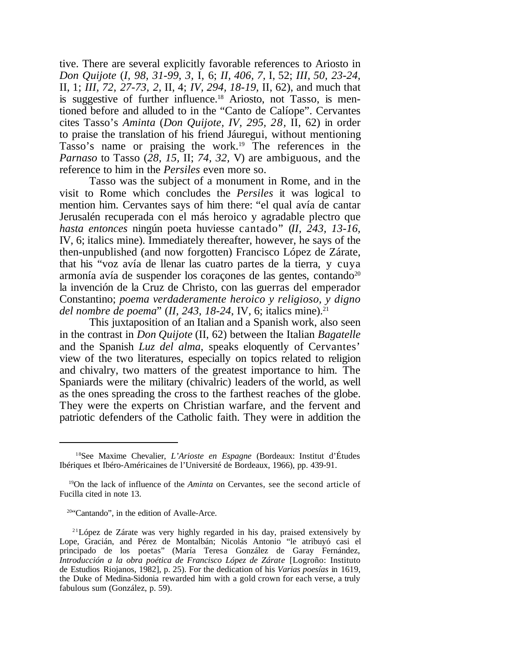tive. There are several explicitly favorable references to Ariosto in *Don Quijote* (*I, 98, 31-99, 3,* I, 6; *II, 406, 7,* I, 52; *III, 50, 23-24,* II, 1; *III, 72, 27-73, 2,* II, 4; *IV, 294, 18-19,* II, 62), and much that is suggestive of further influence.<sup>18</sup> Ariosto, not Tasso, is mentioned before and alluded to in the "Canto de Calíope". Cervantes cites Tasso's *Aminta* (*Don Quijote, IV, 295, 28,* II, 62) in order to praise the translation of his friend Jáuregui, without mentioning Tasso's name or praising the work.<sup>19</sup> The references in the *Parnaso* to Tasso (*28, 15,* II; *74, 32,* V) are ambiguous, and the reference to him in the *Persiles* even more so.

Tasso was the subject of a monument in Rome, and in the visit to Rome which concludes the *Persiles* it was logical to mention him. Cervantes says of him there: "el qual avía de cantar Jerusalén recuperada con el más heroico y agradable plectro que *hasta entonces* ningún poeta huviesse cantado" (*II, 243, 13-16,* IV, 6; italics mine). Immediately thereafter, however, he says of the then-unpublished (and now forgotten) Francisco López de Zárate, that his "voz avía de llenar las cuatro partes de la tierra, y cuya armonía avía de suspender los coraçones de las gentes, contando $20$ la invención de la Cruz de Christo, con las guerras del emperador Constantino; *poema verdaderamente heroico y religioso, y digno del nombre de poema*" (*II, 243, 18-24, IV, 6; italics mine*).<sup>21</sup>

This juxtaposition of an Italian and a Spanish work, also seen in the contrast in *Don Quijote* (II, 62) between the Italian *Bagatelle* and the Spanish *Luz del alma*, speaks eloquently of Cervantes' view of the two literatures, especially on topics related to religion and chivalry, two matters of the greatest importance to him. The Spaniards were the military (chivalric) leaders of the world, as well as the ones spreading the cross to the farthest reaches of the globe. They were the experts on Christian warfare, and the fervent and patriotic defenders of the Catholic faith. They were in addition the

<sup>18</sup>See Maxime Chevalier, *L'Arioste en Espagne* (Bordeaux: Institut d'Études Ibériques et Ibéro-Américaines de l'Université de Bordeaux, 1966), pp. 439-91.

<sup>19</sup>On the lack of influence of the *Aminta* on Cervantes, see the second article of Fucilla cited in note 13.

<sup>20</sup>"Cantando", in the edition of Avalle-Arce.

 $21$ López de Zárate was very highly regarded in his day, praised extensively by Lope, Gracián, and Pérez de Montalbán; Nicolás Antonio "le atribuyó casi el principado de los poetas" (María Teresa González de Garay Fernández, *Introducción a la obra poética de Francisco López de Zárate* [Logroño: Instituto de Estudios Riojanos, 1982], p. 25). For the dedication of his *Varias poesías* in 1619, the Duke of Medina-Sidonia rewarded him with a gold crown for each verse, a truly fabulous sum (González, p. 59).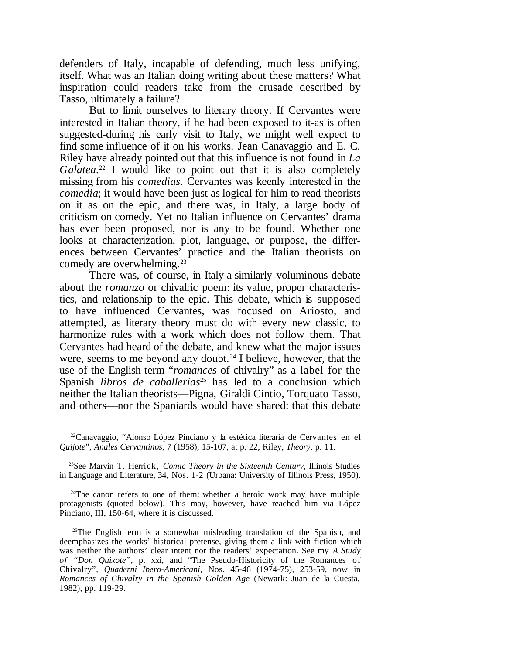defenders of Italy, incapable of defending, much less unifying, itself. What was an Italian doing writing about these matters? What inspiration could readers take from the crusade described by Tasso, ultimately a failure?

But to limit ourselves to literary theory. If Cervantes were interested in Italian theory, if he had been exposed to it-as is often suggested-during his early visit to Italy, we might well expect to find some influence of it on his works. Jean Canavaggio and E. C. Riley have already pointed out that this influence is not found in *La* Galatea.<sup>22</sup> I would like to point out that it is also completely missing from his *comedias*. Cervantes was keenly interested in the *comedia*; it would have been just as logical for him to read theorists on it as on the epic, and there was, in Italy, a large body of criticism on comedy. Yet no Italian influence on Cervantes' drama has ever been proposed, nor is any to be found. Whether one looks at characterization, plot, language, or purpose, the differences between Cervantes' practice and the Italian theorists on comedy are overwhelming.<sup>23</sup>

There was, of course, in Italy a similarly voluminous debate about the *romanzo* or chivalric poem: its value, proper characteristics, and relationship to the epic. This debate, which is supposed to have influenced Cervantes, was focused on Ariosto, and attempted, as literary theory must do with every new classic, to harmonize rules with a work which does not follow them. That Cervantes had heard of the debate, and knew what the major issues were, seems to me beyond any doubt.<sup>24</sup> I believe, however, that the use of the English term "*romances* of chivalry" as a label for the Spanish *libros de caballerías*<sup>25</sup> has led to a conclusion which neither the Italian theorists—Pigna, Giraldi Cintio, Torquato Tasso, and others—nor the Spaniards would have shared: that this debate

<sup>22</sup>Canavaggio, "Alonso López Pinciano y la estética literaria de Cervantes en el *Quijote*", *Anales Cervantinos*, 7 (1958), 15-107, at p. 22; Riley, *Theory*, p. 11.

<sup>23</sup>See Marvin T. Herrick, *Comic Theory in the Sixteenth Century*, Illinois Studies in Language and Literature, 34, Nos. 1-2 (Urbana: University of Illinois Press, 1950).

<sup>&</sup>lt;sup>24</sup>The canon refers to one of them: whether a heroic work may have multiple protagonists (quoted below). This may, however, have reached him via López Pinciano, III, 150-64, where it is discussed.

<sup>&</sup>lt;sup>25</sup>The English term is a somewhat misleading translation of the Spanish, and deemphasizes the works' historical pretense, giving them a link with fiction which was neither the authors' clear intent nor the readers' expectation. See my *A Study of "Don Quixote"*, p. xxi, and "The Pseudo-Historicity of the Romances of Chivalry", *Quaderni Ibero-Americani*, Nos. 45-46 (1974-75), 253-59, now in *Romances of Chivalry in the Spanish Golden Age* (Newark: Juan de la Cuesta, 1982), pp. 119-29.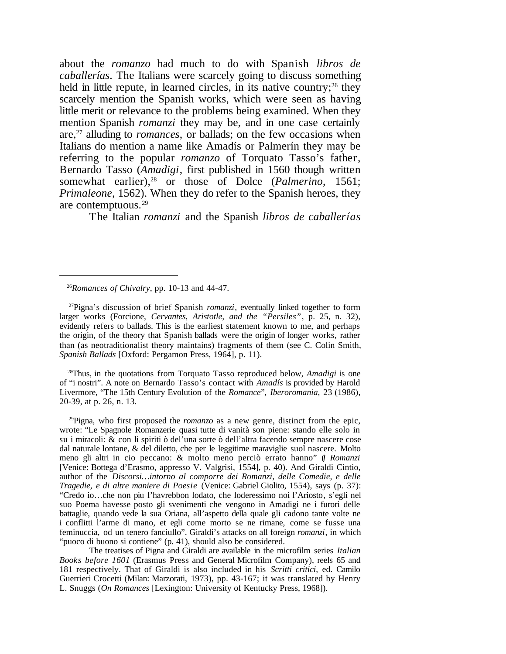about the *romanzo* had much to do with Spanish *libros de caballerías*. The Italians were scarcely going to discuss something held in little repute, in learned circles, in its native country;<sup>26</sup> they scarcely mention the Spanish works, which were seen as having little merit or relevance to the problems being examined. When they mention Spanish *romanzi* they may be, and in one case certainly are,<sup>27</sup> alluding to *romances*, or ballads; on the few occasions when Italians do mention a name like Amadís or Palmerín they may be referring to the popular *romanzo* of Torquato Tasso's father, Bernardo Tasso (*Amadigi*, first published in 1560 though written somewhat earlier),<sup>28</sup> or those of Dolce (*Palmerino*, 1561; *Primaleone*, 1562). When they do refer to the Spanish heroes, they are contemptuous.<sup>29</sup>

The Italian *romanzi* and the Spanish *libros de caballerías*

<sup>28</sup>Thus, in the quotations from Torquato Tasso reproduced below, *Amadigi* is one of "i nostri". A note on Bernardo Tasso's contact with *Amadís* is provided by Harold Livermore, "The 15th Century Evolution of the *Romance*", *Iberoromania*, 23 (1986), 20-39, at p. 26, n. 13.

<sup>29</sup>Pigna, who first proposed the *romanzo* as a new genre, distinct from the epic, wrote: "Le Spagnole Romanzerie quasi tutte di vanità son piene: stando elle solo in su i miracoli: & con li spiriti ò del'una sorte ò dell'altra facendo sempre nascere cose dal naturale lontane, & del diletto, che per le leggitime maraviglie suol nascere. Molto meno gli altri in cio peccano: & molto meno perciò errato hanno" (*I Romanzi* [Venice: Bottega d'Erasmo, appresso V. Valgrisi, 1554], p. 40). And Giraldi Cintio, author of the *Discorsi…intorno al comporre dei Romanzi, delle Comedie, e delle Tragedie, e di altre maniere di Poesie* (Venice: Gabriel Giolito, 1554), says (p. 37): "Credo io…che non piu l'havrebbon lodato, che loderessimo noi l'Ariosto, s'egli nel suo Poema havesse posto gli svenimenti che vengono in Amadigi ne i furori delle battaglie, quando vede la sua Oriana, all'aspetto della quale gli cadono tante volte ne i conflitti l'arme di mano, et egli come morto se ne rimane, come se fusse una feminuccia, od un tenero fanciullo". Giraldi's attacks on all foreign *romanzi*, in which "puoco di buono si contiene" (p. 41), should also be considered.

The treatises of Pigna and Giraldi are available in the microfilm series *Italian Books before 1601* (Erasmus Press and General Microfilm Company), reels 65 and 181 respectively. That of Giraldi is also included in his *Scritti critici*, ed. Camilo Guerrieri Crocetti (Milan: Marzorati, 1973), pp. 43-167; it was translated by Henry L. Snuggs (*On Romances* [Lexington: University of Kentucky Press, 1968]).

<sup>26</sup>*Romances of Chivalry*, pp. 10-13 and 44-47.

<sup>27</sup>Pigna's discussion of brief Spanish *romanzi*, eventually linked together to form larger works (Forcione, *Cervantes, Aristotle, and the "Persiles"*, p. 25, n. 32), evidently refers to ballads. This is the earliest statement known to me, and perhaps the origin, of the theory that Spanish ballads were the origin of longer works, rather than (as neotraditionalist theory maintains) fragments of them (see C. Colin Smith, *Spanish Ballads* [Oxford: Pergamon Press, 1964], p. 11).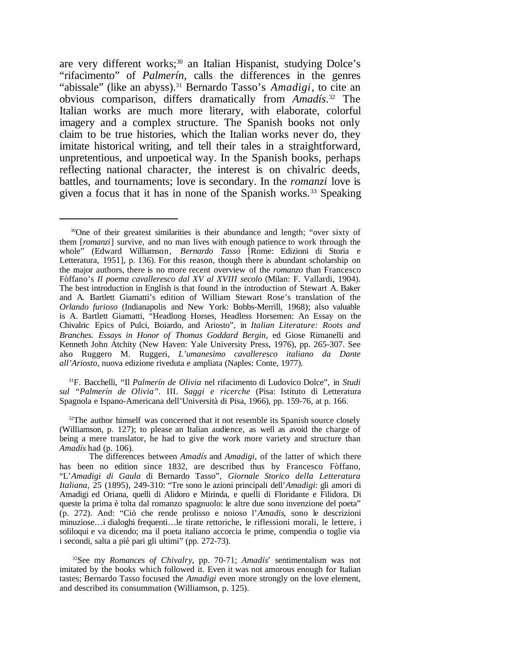are very different works;<sup>30</sup> an Italian Hispanist, studying Dolce's "rifacimento" of *Palmerín*, calls the differences in the genres "abissale" (like an abyss).<sup>31</sup> Bernardo Tasso's *Amadigi*, to cite an obvious comparison, differs dramatically from *Amadís*. <sup>32</sup> The Italian works are much more literary, with elaborate, colorful imagery and a complex structure. The Spanish books not only claim to be true histories, which the Italian works never do, they imitate historical writing, and tell their tales in a straightforward, unpretentious, and unpoetical way. In the Spanish books, perhaps reflecting national character, the interest is on chivalric deeds, battles, and tournaments; love is secondary. In the *romanzi* love is given a focus that it has in none of the Spanish works.<sup>33</sup> Speaking

<sup>31</sup>F. Bacchelli, "Il *Palmerín de Olivia* nel rifacimento di Ludovico Dolce", in *Studi sul "Palmerín de Olivia".* III. *Saggi e ricerche* (Pisa: Istituto di Letteratura Spagnola e Ispano-Americana dell'Università di Pisa, 1966), pp. 159-76, at p. 166.

<sup>33</sup>See my *Romances of Chivalry*, pp. 70-71; *Amadís*' sentimentalism was not imitated by the books which followed it. Even it was not amorous enough for Italian tastes; Bernardo Tasso focused the *Amadigi* even more strongly on the love element, and described its consummation (Williamson, p. 125).

<sup>30</sup>One of their greatest similarities is their abundance and length; "over sixty of them [*romanzi*] survive, and no man lives with enough patience to work through the whole" (Edward Williamson, *Bernardo Tasso* [Rome: Edizioni di Storia e Letteratura, 1951], p. 136). For this reason, though there is abundant scholarship on the major authors, there is no more recent overview of the *romanzo* than Francesco Fòffano's *Il poema cavalleresco dal XV al XVIII secolo* (Milan: F. Vallardi, 1904). The best introduction in English is that found in the introduction of Stewart A. Baker and A. Bartlett Giamatti's edition of William Stewart Rose's translation of the *Orlando furioso* (Indianapolis and New York: Bobbs-Merrill, 1968); also valuable is A. Bartlett Giamatti, "Headlong Horses, Headless Horsemen: An Essay on the Chivalric Epics of Pulci, Boiardo, and Ariosto", in *Italian Literature: Roots and Branches. Essays in Honor of Thomas Goddard Bergin*, ed Giose Rimanelli and Kenneth John Atchity (New Haven: Yale University Press, 1976), pp. 265-307. See also Ruggero M. Ruggeri, *L'umanesimo cavalleresco italiano da Dante all'Ariosto*, nuova edizione riveduta e ampliata (Naples: Conte, 1977).

 $32$ The author himself was concerned that it not resemble its Spanish source closely (Williamson, p. 127); to please an Italian audience, as well as avoid the charge of being a mere translator, he had to give the work more variety and structure than *Amadís* had (p. 106).

The differences between *Amadís* and *Amadigi*, of the latter of which there has been no edition since 1832, are described thus by Francesco Fòffano, "L'*Amadigi di Gaula* di Bernardo Tasso", *Giornale Storico della Letteratura Italiana*, 25 (1895), 249-310: "Tre sono le azioni principali dell'*Amadigi*: gli amori di Amadigi ed Oriana, quelli di Alidoro e Mirinda, e quelli di Floridante e Filidora. Di queste la prima è tolta dal romanzo spagnuolo: le altre due sono invenzione del poeta" (p. 272). And: "Ciò che rende prolisso e noioso l'*Amadis*, sono le descrizioni minuziose…i dialoghi frequenti…le tirate rettoriche, le riflessioni morali, le lettere, i soliloqui e va dicendo; ma il poeta italiano accorcia le prime, compendia o toglie via i secondi, salta a piè pari gli ultimi" (pp. 272-73).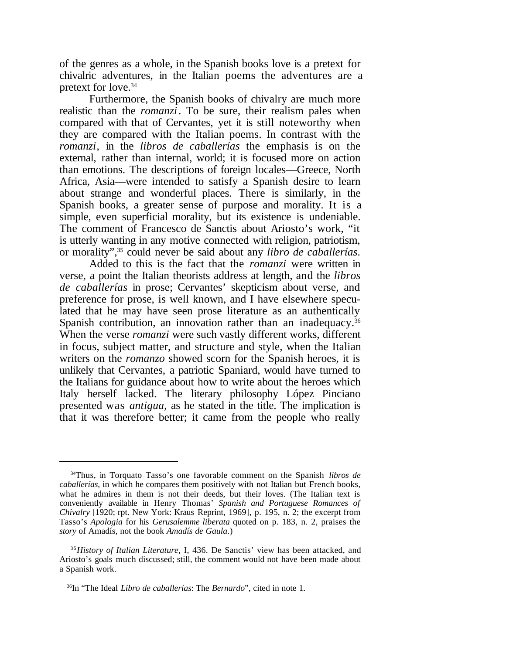of the genres as a whole, in the Spanish books love is a pretext for chivalric adventures, in the Italian poems the adventures are a pretext for love.<sup>34</sup>

Furthermore, the Spanish books of chivalry are much more realistic than the *romanzi*. To be sure, their realism pales when compared with that of Cervantes, yet it is still noteworthy when they are compared with the Italian poems. In contrast with the *romanzi*, in the *libros de caballerías* the emphasis is on the external, rather than internal, world; it is focused more on action than emotions. The descriptions of foreign locales—Greece, North Africa, Asia—were intended to satisfy a Spanish desire to learn about strange and wonderful places. There is similarly, in the Spanish books, a greater sense of purpose and morality. It is a simple, even superficial morality, but its existence is undeniable. The comment of Francesco de Sanctis about Ariosto's work, "it is utterly wanting in any motive connected with religion, patriotism, or morality",<sup>35</sup> could never be said about any *libro de caballerías*.

Added to this is the fact that the *romanzi* were written in verse, a point the Italian theorists address at length, and the *libros de caballerías* in prose; Cervantes' skepticism about verse, and preference for prose, is well known, and I have elsewhere speculated that he may have seen prose literature as an authentically Spanish contribution, an innovation rather than an inadequacy.<sup>36</sup> When the verse *romanzi* were such vastly different works, different in focus, subject matter, and structure and style, when the Italian writers on the *romanzo* showed scorn for the Spanish heroes, it is unlikely that Cervantes, a patriotic Spaniard, would have turned to the Italians for guidance about how to write about the heroes which Italy herself lacked. The literary philosophy López Pinciano presented was *antigua*, as he stated in the title. The implication is that it was therefore better; it came from the people who really

<sup>34</sup>Thus, in Torquato Tasso's one favorable comment on the Spanish *libros de caballerías*, in which he compares them positively with not Italian but French books, what he admires in them is not their deeds, but their loves. (The Italian text is conveniently available in Henry Thomas' *Spanish and Portuguese Romances of Chivalry* [1920; rpt. New York: Kraus Reprint, 1969], p. 195, n. 2; the excerpt from Tasso's *Apologia* for his *Gerusalemme liberata* quoted on p. 183, n. 2, praises the *story* of Amadís, not the book *Amadís de Gaula*.)

<sup>3 5</sup>*History of Italian Literature*, I, 436. De Sanctis' view has been attacked, and Ariosto's goals much discussed; still, the comment would not have been made about a Spanish work.

<sup>36</sup>In "The Ideal *Libro de caballerías*: The *Bernardo*", cited in note 1.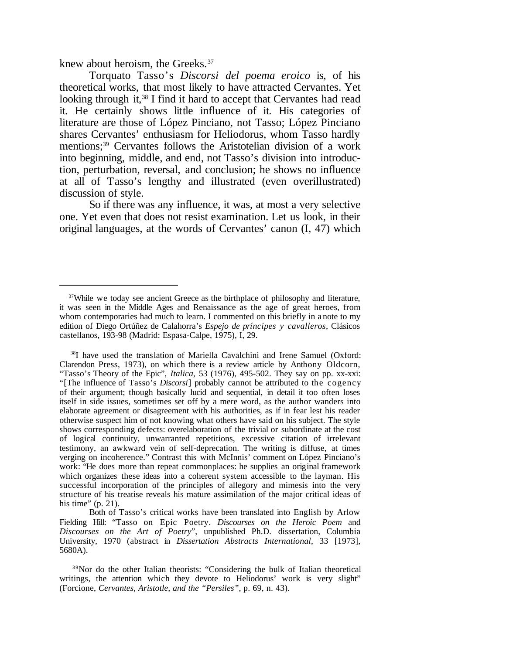knew about heroism, the Greeks.<sup>37</sup>

Torquato Tasso's *Discorsi del poema eroico* is, of his theoretical works, that most likely to have attracted Cervantes. Yet looking through it,<sup>38</sup> I find it hard to accept that Cervantes had read it. He certainly shows little influence of it. His categories of literature are those of López Pinciano, not Tasso; López Pinciano shares Cervantes' enthusiasm for Heliodorus, whom Tasso hardly mentions;<sup>39</sup> Cervantes follows the Aristotelian division of a work into beginning, middle, and end, not Tasso's division into introduction, perturbation, reversal, and conclusion; he shows no influence at all of Tasso's lengthy and illustrated (even overillustrated) discussion of style.

So if there was any influence, it was, at most a very selective one. Yet even that does not resist examination. Let us look, in their original languages, at the words of Cervantes' canon (I, 47) which

<sup>&</sup>lt;sup>37</sup>While we today see ancient Greece as the birthplace of philosophy and literature, it was seen in the Middle Ages and Renaissance as the age of great heroes, from whom contemporaries had much to learn. I commented on this briefly in a note to my edition of Diego Ortúñez de Calahorra's *Espejo de príncipes y cavalleros*, Clásicos castellanos, 193-98 (Madrid: Espasa-Calpe, 1975), I, 29.

<sup>&</sup>lt;sup>38</sup>I have used the translation of Mariella Cavalchini and Irene Samuel (Oxford: Clarendon Press, 1973), on which there is a review article by Anthony Oldcorn, "Tasso's Theory of the Epic", *Italica*, 53 (1976), 495-502. They say on pp. xx-xxi: "[The influence of Tasso's *Discorsi*] probably cannot be attributed to the cogency of their argument; though basically lucid and sequential, in detail it too often loses itself in side issues, sometimes set off by a mere word, as the author wanders into elaborate agreement or disagreement with his authorities, as if in fear lest his reader otherwise suspect him of not knowing what others have said on his subject. The style shows corresponding defects: overelaboration of the trivial or subordinate at the cost of logical continuity, unwarranted repetitions, excessive citation of irrelevant testimony, an awkward vein of self-deprecation. The writing is diffuse, at times verging on incoherence." Contrast this with McInnis' comment on López Pinciano's work: "He does more than repeat commonplaces: he supplies an original framework which organizes these ideas into a coherent system accessible to the layman. His successful incorporation of the principles of allegory and mimesis into the very structure of his treatise reveals his mature assimilation of the major critical ideas of his time" (p. 21).

Both of Tasso's critical works have been translated into English by Arlow Fielding Hill: "Tasso on Epic Poetry. *Discourses on the Heroic Poem* and *Discourses on the Art of Poetry*", unpublished Ph.D. dissertation, Columbia University, 1970 (abstract in *Dissertation Abstracts International*, 33 [1973], 5680A).

<sup>&</sup>lt;sup>39</sup>Nor do the other Italian theorists: "Considering the bulk of Italian theoretical writings, the attention which they devote to Heliodorus' work is very slight" (Forcione, *Cervantes, Aristotle, and the "Persiles",* p. 69, n. 43).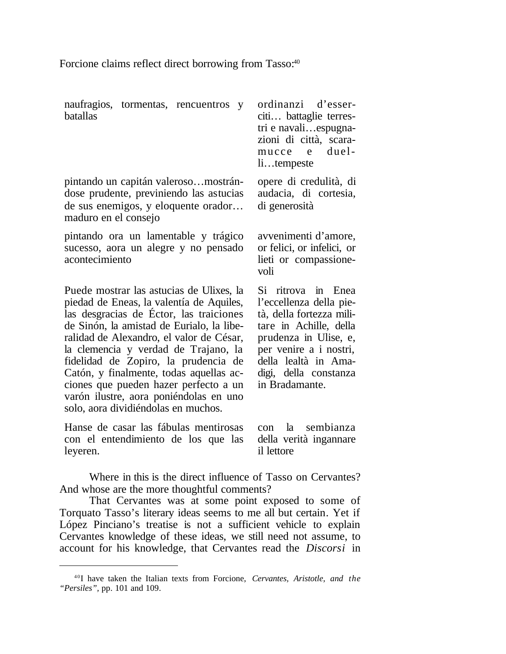Forcione claims reflect direct borrowing from Tasso:<sup>40</sup>

naufragios, tormentas, rencuentros y batallas

pintando un capitán valeroso…mostrándose prudente, previniendo las astucias de sus enemigos, y eloquente orador… maduro en el consejo

pintando ora un lamentable y trágico sucesso, aora un alegre y no pensado acontecimiento

Puede mostrar las astucias de Ulixes, la piedad de Eneas, la valentía de Aquiles, las desgracias de Éctor, las traiciones de Sinón, la amistad de Eurialo, la liberalidad de Alexandro, el valor de César, la clemencia y verdad de Trajano, la fidelidad de Zopiro, la prudencia de Catón, y finalmente, todas aquellas acciones que pueden hazer perfecto a un varón ilustre, aora poniéndolas en uno solo, aora dividiéndolas en muchos.

Hanse de casar las fábulas mentirosas con el entendimiento de los que las leyeren.

ordinanzi d'esserciti… battaglie terrestri e navali…espugnazioni di città, scaramucce e duelli…tempeste

opere di credulità, di audacia, di cortesia, di generosità

avvenimenti d'amore, or felici, or infelici, or lieti or compassionevoli

Si ritrova in Enea l'eccellenza della pietà, della fortezza militare in Achille, della prudenza in Ulise, e, per venire a i nostri, della lealtà in Amadigi, della constanza in Bradamante.

con la sembianza della verità ingannare il lettore

Where in this is the direct influence of Tasso on Cervantes? And whose are the more thoughtful comments?

That Cervantes was at some point exposed to some of Torquato Tasso's literary ideas seems to me all but certain. Yet if López Pinciano's treatise is not a sufficient vehicle to explain Cervantes knowledge of these ideas, we still need not assume, to account for his knowledge, that Cervantes read the *Discorsi* in

<sup>4 0</sup>I have taken the Italian texts from Forcione, *Cervantes, Aristotle, and the "Persiles",* pp. 101 and 109.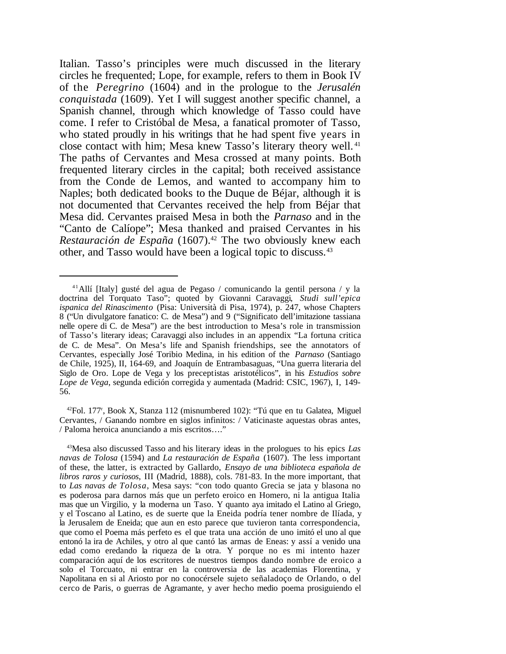Italian. Tasso's principles were much discussed in the literary circles he frequented; Lope, for example, refers to them in Book IV of the *Peregrino* (1604) and in the prologue to the *Jerusalén conquistada* (1609). Yet I will suggest another specific channel, a Spanish channel, through which knowledge of Tasso could have come. I refer to Cristóbal de Mesa, a fanatical promoter of Tasso, who stated proudly in his writings that he had spent five years in close contact with him; Mesa knew Tasso's literary theory well. <sup>41</sup> The paths of Cervantes and Mesa crossed at many points. Both frequented literary circles in the capital; both received assistance from the Conde de Lemos, and wanted to accompany him to Naples; both dedicated books to the Duque de Béjar, although it is not documented that Cervantes received the help from Béjar that Mesa did. Cervantes praised Mesa in both the *Parnaso* and in the "Canto de Calíope"; Mesa thanked and praised Cervantes in his *Restauración de España* (1607).<sup>42</sup> The two obviously knew each other, and Tasso would have been a logical topic to discuss.43

 $42$ Fol. 177<sup>r</sup>, Book X, Stanza 112 (misnumbered 102): "Tú que en tu Galatea, Miguel Cervantes, / Ganando nombre en siglos infinitos: / Vaticinaste aquestas obras antes, / Paloma heroica anunciando a mis escritos…."

<sup>&</sup>lt;sup>41</sup>Allí [Italy] gusté del agua de Pegaso / comunicando la gentil persona / y la doctrina del Torquato Taso"; quoted by Giovanni Caravaggi, *Studi sull'epica ispanica del Rinascimento* (Pisa: Università di Pisa, 1974), p. 247, whose Chapters 8 ("Un divulgatore fanatico: C. de Mesa") and 9 ("Significato dell'imitazione tassiana nelle opere di C. de Mesa") are the best introduction to Mesa's role in transmission of Tasso's literary ideas; Caravaggi also includes in an appendix "La fortuna critica de C. de Mesa". On Mesa's life and Spanish friendships, see the annotators of Cervantes, especially José Toribio Medina, in his edition of the *Parnaso* (Santiago de Chile, 1925), II, 164-69, and Joaquín de Entrambasaguas, "Una guerra literaria del Siglo de Oro. Lope de Vega y los preceptistas aristotélicos", in his *Estudios sobre Lope de Vega*, segunda edición corregida y aumentada (Madrid: CSIC, 1967), I, 149- 56.

<sup>43</sup>Mesa also discussed Tasso and his literary ideas in the prologues to his epics *Las navas de Tolosa* (1594) and *La restauración de España* (1607). The less important of these, the latter, is extracted by Gallardo, *Ensayo de una biblioteca española de libros raros y curiosos*, III (Madrid, 1888), cols. 781-83. In the more important, that to *Las navas de Tolosa*, Mesa says: "con todo quanto Grecia se jata y blasona no es poderosa para darnos más que un perfeto eroico en Homero, ni la antigua Italia mas que un Virgilio, y la moderna un Taso. Y quanto aya imitado el Latino al Griego, y el Toscano al Latino, es de suerte que la Eneida podría tener nombre de Ilíada, y la Jerusalem de Eneida; que aun en esto parece que tuvieron tanta correspondencia, que como el Poema más perfeto es el que trata una acción de uno imitó el uno al que entonó la ira de Achiles, y otro al que cantó las armas de Eneas: y assí a venido una edad como eredando la riqueza de la otra. Y porque no es mi intento hazer comparación aquí de los escritores de nuestros tiempos dando nombre de eroico a solo el Torcuato, ni entrar en la controversia de las academias Florentina, y Napolitana en si al Ariosto por no conocérsele sujeto señaladoço de Orlando, o del cerco de Paris, o guerras de Agramante, y aver hecho medio poema prosiguiendo el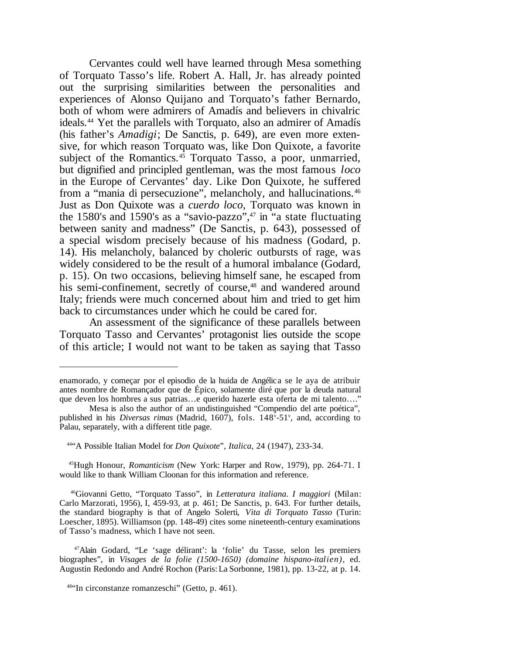Cervantes could well have learned through Mesa something of Torquato Tasso's life. Robert A. Hall, Jr. has already pointed out the surprising similarities between the personalities and experiences of Alonso Quijano and Torquato's father Bernardo, both of whom were admirers of Amadís and believers in chivalric ideals.<sup>44</sup> Yet the parallels with Torquato, also an admirer of Amadís (his father's *Amadigi*; De Sanctis, p. 649), are even more extensive, for which reason Torquato was, like Don Quixote, a favorite subject of the Romantics. $45$  Torquato Tasso, a poor, unmarried, but dignified and principled gentleman, was the most famous *loco* in the Europe of Cervantes' day. Like Don Quixote, he suffered from a "mania di persecuzione", melancholy, and hallucinations.<sup>46</sup> Just as Don Quixote was a *cuerdo loco*, Torquato was known in the 1580's and 1590's as a "savio-pazzo",<sup>47</sup> in "a state fluctuating between sanity and madness" (De Sanctis, p. 643), possessed of a special wisdom precisely because of his madness (Godard, p. 14). His melancholy, balanced by choleric outbursts of rage, was widely considered to be the result of a humoral imbalance (Godard, p. 15). On two occasions, believing himself sane, he escaped from his semi-confinement, secretly of course,<sup>48</sup> and wandered around Italy; friends were much concerned about him and tried to get him back to circumstances under which he could be cared for.

An assessment of the significance of these parallels between Torquato Tasso and Cervantes' protagonist lies outside the scope of this article; I would not want to be taken as saying that Tasso

enamorado, y começar por el episodio de la huida de Angélica se le aya de atribuir antes nombre de Romançador que de Épico, solamente diré que por la deuda natural que deven los hombres a sus patrias…e querido hazerle esta oferta de mi talento…."

Mesa is also the author of an undistinguished "Compendio del arte poética", published in his *Diversas rimas* (Madrid, 1607), fols. 148<sup>v</sup>-51<sup>v</sup>, and, according to Palau, separately, with a different title page.

<sup>44</sup>"A Possible Italian Model for *Don Quixote*", *Italica*, 24 (1947), 233-34.

<sup>45</sup>Hugh Honour, *Romanticism* (New York: Harper and Row, 1979), pp. 264-71. I would like to thank William Cloonan for this information and reference.

<sup>46</sup>Giovanni Getto, "Torquato Tasso", in *Letteratura italiana. I maggiori* (Milan: Carlo Marzorati, 1956), I, 459-93, at p. 461; De Sanctis, p. 643. For further details, the standard biography is that of Angelo Solerti, *Vita di Torquato Tasso* (Turin: Loescher, 1895). Williamson (pp. 148-49) cites some nineteenth-century examinations of Tasso's madness, which I have not seen.

<sup>47</sup>Alain Godard, "Le 'sage délirant': la 'folie' du Tasse, selon les premiers biographes", in *Visages de la folie (1500-1650) (domaine hispano-italien)*, ed. Augustin Redondo and André Rochon (Paris:La Sorbonne, 1981), pp. 13-22, at p. 14.

<sup>48</sup>"In circonstanze romanzeschi" (Getto, p. 461).